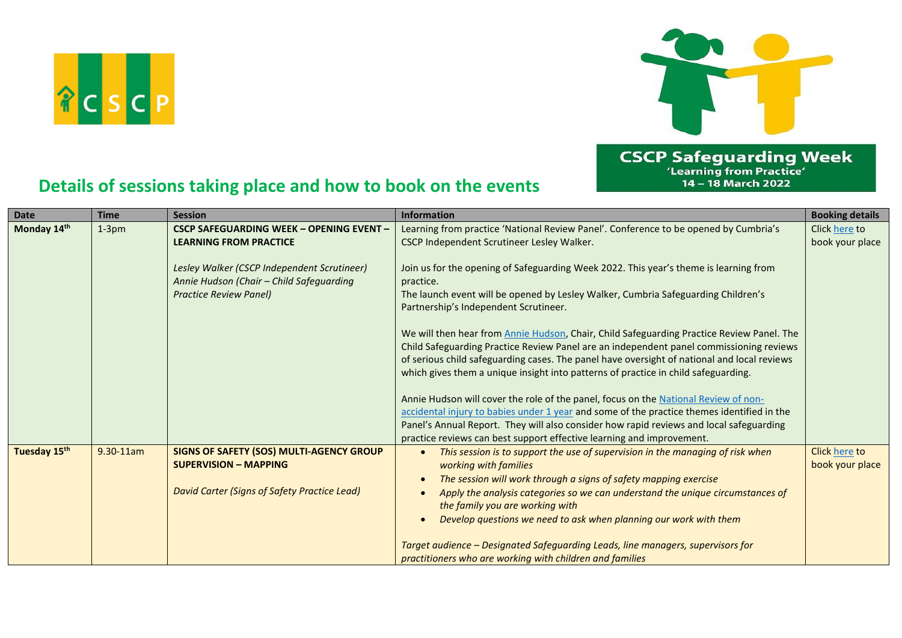



#### 14 - 18 March 2022

#### **Details of sessions taking place and how to book on the events**

| <b>Date</b>  | <b>Time</b>   | <b>Session</b>                                                                                                           | <b>Information</b>                                                                                                                                                                                                                                                                                                                                                                 | <b>Booking details</b>           |
|--------------|---------------|--------------------------------------------------------------------------------------------------------------------------|------------------------------------------------------------------------------------------------------------------------------------------------------------------------------------------------------------------------------------------------------------------------------------------------------------------------------------------------------------------------------------|----------------------------------|
| Monday 14th  | $1-3pm$       | <b>CSCP SAFEGUARDING WEEK - OPENING EVENT -</b><br><b>LEARNING FROM PRACTICE</b>                                         | Learning from practice 'National Review Panel'. Conference to be opened by Cumbria's<br>CSCP Independent Scrutineer Lesley Walker.                                                                                                                                                                                                                                                 | Click here to<br>book your place |
|              |               | Lesley Walker (CSCP Independent Scrutineer)<br>Annie Hudson (Chair - Child Safeguarding<br><b>Practice Review Panel)</b> | Join us for the opening of Safeguarding Week 2022. This year's theme is learning from<br>practice.<br>The launch event will be opened by Lesley Walker, Cumbria Safeguarding Children's<br>Partnership's Independent Scrutineer.                                                                                                                                                   |                                  |
|              |               |                                                                                                                          | We will then hear from Annie Hudson, Chair, Child Safeguarding Practice Review Panel. The<br>Child Safeguarding Practice Review Panel are an independent panel commissioning reviews<br>of serious child safeguarding cases. The panel have oversight of national and local reviews<br>which gives them a unique insight into patterns of practice in child safeguarding.          |                                  |
|              |               |                                                                                                                          | Annie Hudson will cover the role of the panel, focus on the National Review of non-<br>accidental injury to babies under 1 year and some of the practice themes identified in the<br>Panel's Annual Report. They will also consider how rapid reviews and local safeguarding<br>practice reviews can best support effective learning and improvement.                              |                                  |
| Tuesday 15th | $9.30 - 11am$ | SIGNS OF SAFETY (SOS) MULTI-AGENCY GROUP<br><b>SUPERVISION - MAPPING</b><br>David Carter (Signs of Safety Practice Lead) | This session is to support the use of supervision in the managing of risk when<br>$\bullet$<br>working with families<br>The session will work through a signs of safety mapping exercise<br>Apply the analysis categories so we can understand the unique circumstances of<br>the family you are working with<br>Develop questions we need to ask when planning our work with them | Click here to<br>book your place |
|              |               |                                                                                                                          | Target audience - Designated Safeguarding Leads, line managers, supervisors for<br>practitioners who are working with children and families                                                                                                                                                                                                                                        |                                  |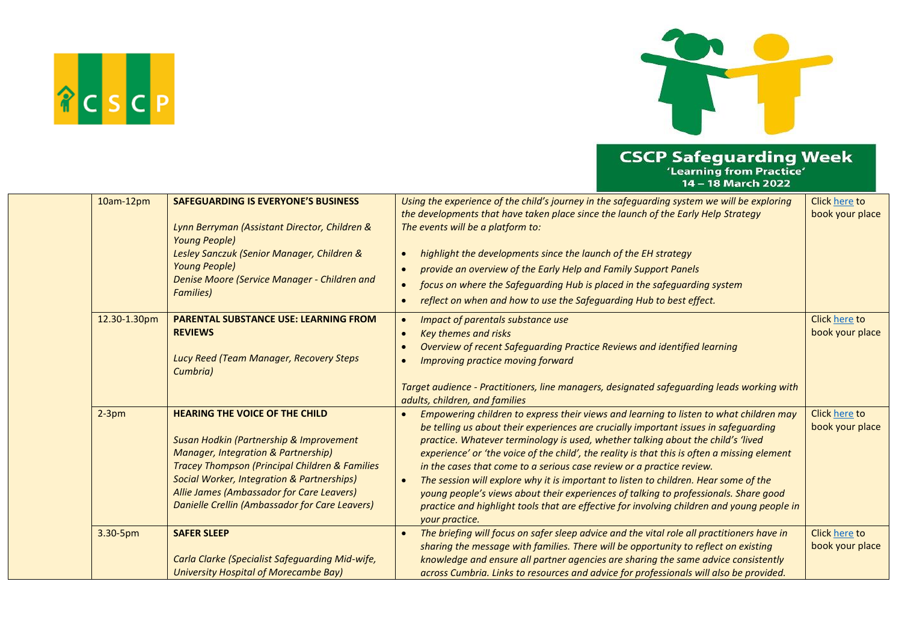



| 10am-12pm    | <b>SAFEGUARDING IS EVERYONE'S BUSINESS</b><br>Lynn Berryman (Assistant Director, Children &<br><b>Young People)</b><br>Lesley Sanczuk (Senior Manager, Children &<br><b>Young People)</b><br>Denise Moore (Service Manager - Children and<br><b>Families</b> )                                                                                      | Using the experience of the child's journey in the safeguarding system we will be exploring<br>the developments that have taken place since the launch of the Early Help Strategy<br>The events will be a platform to:<br>highlight the developments since the launch of the EH strategy<br>provide an overview of the Early Help and Family Support Panels<br>focus on where the Safeguarding Hub is placed in the safeguarding system<br>reflect on when and how to use the Safeguarding Hub to best effect.<br>$\bullet$                                                                                                                                                                                                                 | <b>Click here to</b><br>book your place |
|--------------|-----------------------------------------------------------------------------------------------------------------------------------------------------------------------------------------------------------------------------------------------------------------------------------------------------------------------------------------------------|---------------------------------------------------------------------------------------------------------------------------------------------------------------------------------------------------------------------------------------------------------------------------------------------------------------------------------------------------------------------------------------------------------------------------------------------------------------------------------------------------------------------------------------------------------------------------------------------------------------------------------------------------------------------------------------------------------------------------------------------|-----------------------------------------|
| 12.30-1.30pm | <b>PARENTAL SUBSTANCE USE: LEARNING FROM</b><br><b>REVIEWS</b><br>Lucy Reed (Team Manager, Recovery Steps<br>Cumbria)                                                                                                                                                                                                                               | Impact of parentals substance use<br><b>Key themes and risks</b><br>Overview of recent Safeguarding Practice Reviews and identified learning<br>Improving practice moving forward<br>Target audience - Practitioners, line managers, designated safeguarding leads working with<br>adults, children, and families                                                                                                                                                                                                                                                                                                                                                                                                                           | <b>Click here to</b><br>book your place |
| $2-3pm$      | <b>HEARING THE VOICE OF THE CHILD</b><br>Susan Hodkin (Partnership & Improvement<br><b>Manager, Integration &amp; Partnership)</b><br>Tracey Thompson (Principal Children & Families<br><b>Social Worker, Integration &amp; Partnerships)</b><br>Allie James (Ambassador for Care Leavers)<br><b>Danielle Crellin (Ambassador for Care Leavers)</b> | Empowering children to express their views and learning to listen to what children may<br>be telling us about their experiences are crucially important issues in safeguarding<br>practice. Whatever terminology is used, whether talking about the child's 'lived<br>experience' or 'the voice of the child', the reality is that this is often a missing element<br>in the cases that come to a serious case review or a practice review.<br>The session will explore why it is important to listen to children. Hear some of the<br>young people's views about their experiences of talking to professionals. Share good<br>practice and highlight tools that are effective for involving children and young people in<br>your practice. | Click here to<br>book your place        |
| 3.30-5pm     | <b>SAFER SLEEP</b><br>Carla Clarke (Specialist Safeguarding Mid-wife,<br>University Hospital of Morecambe Bay)                                                                                                                                                                                                                                      | The briefing will focus on safer sleep advice and the vital role all practitioners have in<br>sharing the message with families. There will be opportunity to reflect on existing<br>knowledge and ensure all partner agencies are sharing the same advice consistently<br>across Cumbria. Links to resources and advice for professionals will also be provided.                                                                                                                                                                                                                                                                                                                                                                           | Click here to<br>book your place        |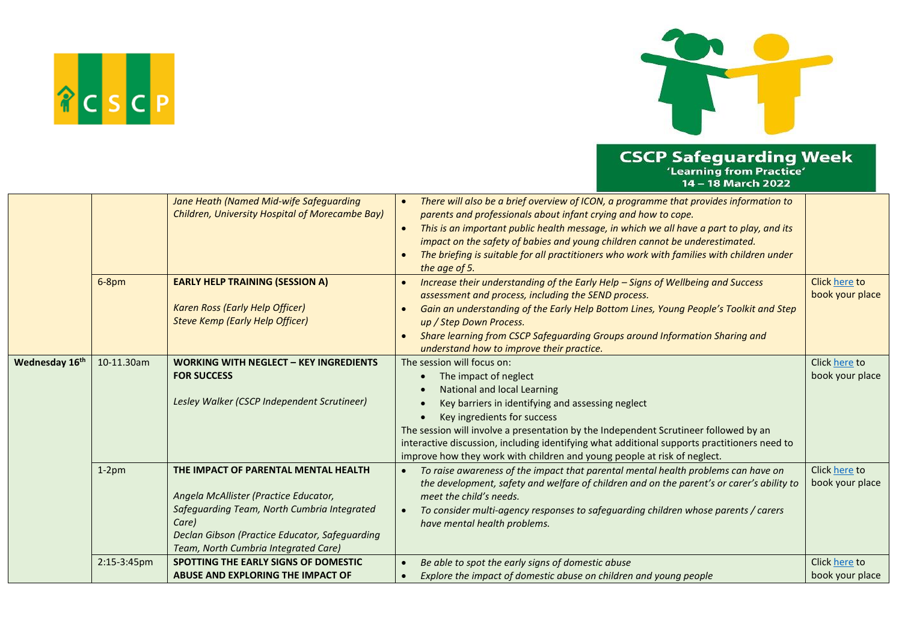



|                            |             | Jane Heath (Named Mid-wife Safeguarding<br>Children, University Hospital of Morecambe Bay)                                                                                                                                      | There will also be a brief overview of ICON, a programme that provides information to<br>$\bullet$<br>parents and professionals about infant crying and how to cope.<br>This is an important public health message, in which we all have a part to play, and its<br>impact on the safety of babies and young children cannot be underestimated.<br>The briefing is suitable for all practitioners who work with families with children under<br>the age of 5. |                                  |
|----------------------------|-------------|---------------------------------------------------------------------------------------------------------------------------------------------------------------------------------------------------------------------------------|---------------------------------------------------------------------------------------------------------------------------------------------------------------------------------------------------------------------------------------------------------------------------------------------------------------------------------------------------------------------------------------------------------------------------------------------------------------|----------------------------------|
|                            | 6-8pm       | <b>EARLY HELP TRAINING (SESSION A)</b><br>Karen Ross (Early Help Officer)<br><b>Steve Kemp (Early Help Officer)</b>                                                                                                             | Increase their understanding of the Early Help - Signs of Wellbeing and Success<br>assessment and process, including the SEND process.<br>Gain an understanding of the Early Help Bottom Lines, Young People's Toolkit and Step<br>up / Step Down Process.<br>Share learning from CSCP Safeguarding Groups around Information Sharing and<br>understand how to improve their practice.                                                                        | Click here to<br>book your place |
| Wednesday 16 <sup>th</sup> | 10-11.30am  | <b>WORKING WITH NEGLECT - KEY INGREDIENTS</b><br><b>FOR SUCCESS</b><br>Lesley Walker (CSCP Independent Scrutineer)                                                                                                              | The session will focus on:<br>The impact of neglect<br>National and local Learning<br>Key barriers in identifying and assessing neglect<br>Key ingredients for success<br>The session will involve a presentation by the Independent Scrutineer followed by an<br>interactive discussion, including identifying what additional supports practitioners need to<br>improve how they work with children and young people at risk of neglect.                    | Click here to<br>book your place |
|                            | $1-2pm$     | THE IMPACT OF PARENTAL MENTAL HEALTH<br>Angela McAllister (Practice Educator,<br>Safeguarding Team, North Cumbria Integrated<br>Care)<br>Declan Gibson (Practice Educator, Safeguarding<br>Team, North Cumbria Integrated Care) | To raise awareness of the impact that parental mental health problems can have on<br>the development, safety and welfare of children and on the parent's or carer's ability to<br>meet the child's needs.<br>To consider multi-agency responses to safeguarding children whose parents / carers<br>have mental health problems.                                                                                                                               | Click here to<br>book your place |
|                            | 2:15-3:45pm | SPOTTING THE EARLY SIGNS OF DOMESTIC<br>ABUSE AND EXPLORING THE IMPACT OF                                                                                                                                                       | Be able to spot the early signs of domestic abuse<br>Explore the impact of domestic abuse on children and young people<br>$\bullet$                                                                                                                                                                                                                                                                                                                           | Click here to<br>book your place |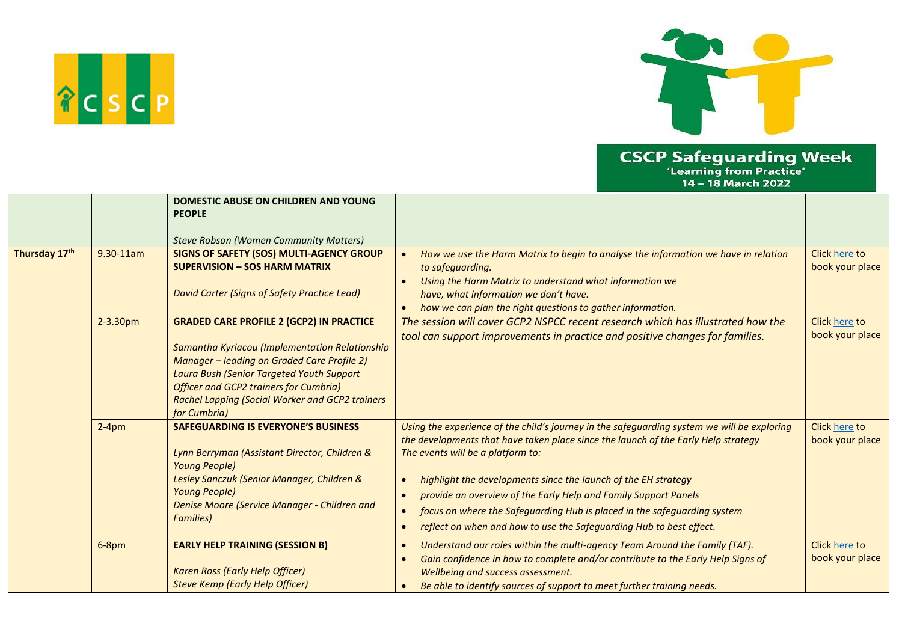



|               |           | DOMESTIC ABUSE ON CHILDREN AND YOUNG<br><b>PEOPLE</b><br><b>Steve Robson (Women Community Matters)</b>                                                                                                                                                                                                                   |                                                                                                                                                                                                                                                                                                                                                                                                                                                                                                                                                       |                                         |
|---------------|-----------|--------------------------------------------------------------------------------------------------------------------------------------------------------------------------------------------------------------------------------------------------------------------------------------------------------------------------|-------------------------------------------------------------------------------------------------------------------------------------------------------------------------------------------------------------------------------------------------------------------------------------------------------------------------------------------------------------------------------------------------------------------------------------------------------------------------------------------------------------------------------------------------------|-----------------------------------------|
| Thursday 17th | 9.30-11am | <b>SIGNS OF SAFETY (SOS) MULTI-AGENCY GROUP</b><br><b>SUPERVISION - SOS HARM MATRIX</b><br>David Carter (Signs of Safety Practice Lead)                                                                                                                                                                                  | How we use the Harm Matrix to begin to analyse the information we have in relation<br>to safeguarding.<br>Using the Harm Matrix to understand what information we<br>have, what information we don't have.<br>how we can plan the right questions to gather information.                                                                                                                                                                                                                                                                              | Click here to<br>book your place        |
|               | 2-3.30pm  | <b>GRADED CARE PROFILE 2 (GCP2) IN PRACTICE</b><br>Samantha Kyriacou (Implementation Relationship<br>Manager - leading on Graded Care Profile 2)<br>Laura Bush (Senior Targeted Youth Support<br><b>Officer and GCP2 trainers for Cumbria)</b><br><b>Rachel Lapping (Social Worker and GCP2 trainers</b><br>for Cumbria) | The session will cover GCP2 NSPCC recent research which has illustrated how the<br>tool can support improvements in practice and positive changes for families.                                                                                                                                                                                                                                                                                                                                                                                       | <b>Click here to</b><br>book your place |
|               | $2-4pm$   | <b>SAFEGUARDING IS EVERYONE'S BUSINESS</b><br>Lynn Berryman (Assistant Director, Children &<br><b>Young People)</b><br>Lesley Sanczuk (Senior Manager, Children &<br><b>Young People)</b><br>Denise Moore (Service Manager - Children and<br><b>Families</b> )                                                           | Using the experience of the child's journey in the safeguarding system we will be exploring<br>the developments that have taken place since the launch of the Early Help strategy<br>The events will be a platform to:<br>highlight the developments since the launch of the EH strategy<br>provide an overview of the Early Help and Family Support Panels<br>$\bullet$<br>focus on where the Safeguarding Hub is placed in the safeguarding system<br>$\bullet$<br>reflect on when and how to use the Safeguarding Hub to best effect.<br>$\bullet$ | Click here to<br>book your place        |
|               | $6-8$ pm  | <b>EARLY HELP TRAINING (SESSION B)</b><br>Karen Ross (Early Help Officer)<br><b>Steve Kemp (Early Help Officer)</b>                                                                                                                                                                                                      | Understand our roles within the multi-agency Team Around the Family (TAF).<br>$\bullet$<br>Gain confidence in how to complete and/or contribute to the Early Help Signs of<br>Wellbeing and success assessment.<br>Be able to identify sources of support to meet further training needs.                                                                                                                                                                                                                                                             | <b>Click here to</b><br>book your place |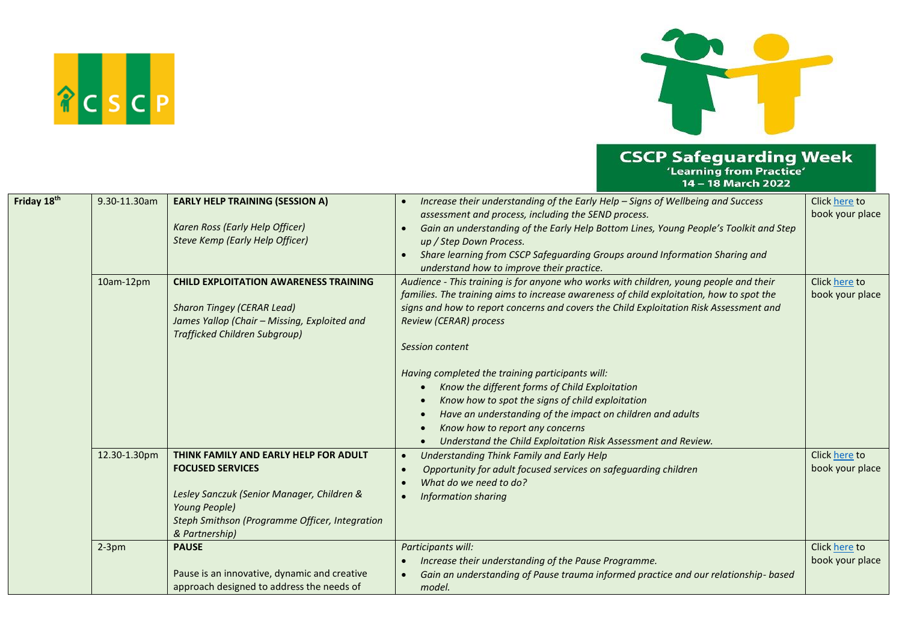



| Friday 18th | 9.30-11.30am | <b>EARLY HELP TRAINING (SESSION A)</b><br>Karen Ross (Early Help Officer)<br>Steve Kemp (Early Help Officer)                                                                                        | Increase their understanding of the Early Help - Signs of Wellbeing and Success<br>$\bullet$<br>assessment and process, including the SEND process.<br>Gain an understanding of the Early Help Bottom Lines, Young People's Toolkit and Step<br>up / Step Down Process.<br>Share learning from CSCP Safeguarding Groups around Information Sharing and<br>$\bullet$    | Click here to<br>book your place |
|-------------|--------------|-----------------------------------------------------------------------------------------------------------------------------------------------------------------------------------------------------|------------------------------------------------------------------------------------------------------------------------------------------------------------------------------------------------------------------------------------------------------------------------------------------------------------------------------------------------------------------------|----------------------------------|
|             | 10am-12pm    | <b>CHILD EXPLOITATION AWARENESS TRAINING</b><br><b>Sharon Tingey (CERAR Lead)</b><br>James Yallop (Chair - Missing, Exploited and<br>Trafficked Children Subgroup)                                  | understand how to improve their practice.<br>Audience - This training is for anyone who works with children, young people and their<br>families. The training aims to increase awareness of child exploitation, how to spot the<br>signs and how to report concerns and covers the Child Exploitation Risk Assessment and<br>Review (CERAR) process<br>Session content | Click here to<br>book your place |
|             |              |                                                                                                                                                                                                     | Having completed the training participants will:<br>Know the different forms of Child Exploitation<br>$\bullet$<br>Know how to spot the signs of child exploitation<br>Have an understanding of the impact on children and adults<br>Know how to report any concerns<br>Understand the Child Exploitation Risk Assessment and Review.                                  |                                  |
|             | 12.30-1.30pm | THINK FAMILY AND EARLY HELP FOR ADULT<br><b>FOCUSED SERVICES</b><br>Lesley Sanczuk (Senior Manager, Children &<br>Young People)<br>Steph Smithson (Programme Officer, Integration<br>& Partnership) | Understanding Think Family and Early Help<br>$\bullet$<br>Opportunity for adult focused services on safeguarding children<br>$\bullet$<br>What do we need to do?<br>$\bullet$<br><b>Information sharing</b><br>$\bullet$                                                                                                                                               | Click here to<br>book your place |
|             | $2-3pm$      | <b>PAUSE</b><br>Pause is an innovative, dynamic and creative<br>approach designed to address the needs of                                                                                           | Participants will:<br>Increase their understanding of the Pause Programme.<br>Gain an understanding of Pause trauma informed practice and our relationship- based<br>model.                                                                                                                                                                                            | Click here to<br>book your place |